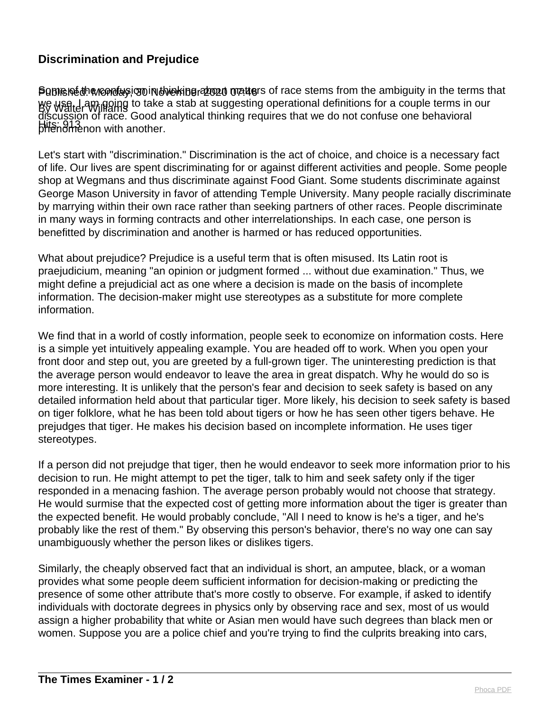## **Discrimination and Prejudice**

**Pomened in anonday** coninut were about on the stems from the ambiguity in the terms that By Walter Williams we use. I am going to take a stab at suggesting operational definitions for a couple terms in our Hits: 913<br>phenomenon with another. discussion of race. Good analytical thinking requires that we do not confuse one behavioral

Let's start with "discrimination." Discrimination is the act of choice, and choice is a necessary fact of life. Our lives are spent discriminating for or against different activities and people. Some people shop at Wegmans and thus discriminate against Food Giant. Some students discriminate against George Mason University in favor of attending Temple University. Many people racially discriminate by marrying within their own race rather than seeking partners of other races. People discriminate in many ways in forming contracts and other interrelationships. In each case, one person is benefitted by discrimination and another is harmed or has reduced opportunities.

What about prejudice? Prejudice is a useful term that is often misused. Its Latin root is praejudicium, meaning "an opinion or judgment formed ... without due examination." Thus, we might define a prejudicial act as one where a decision is made on the basis of incomplete information. The decision-maker might use stereotypes as a substitute for more complete information.

We find that in a world of costly information, people seek to economize on information costs. Here is a simple yet intuitively appealing example. You are headed off to work. When you open your front door and step out, you are greeted by a full-grown tiger. The uninteresting prediction is that the average person would endeavor to leave the area in great dispatch. Why he would do so is more interesting. It is unlikely that the person's fear and decision to seek safety is based on any detailed information held about that particular tiger. More likely, his decision to seek safety is based on tiger folklore, what he has been told about tigers or how he has seen other tigers behave. He prejudges that tiger. He makes his decision based on incomplete information. He uses tiger stereotypes.

If a person did not prejudge that tiger, then he would endeavor to seek more information prior to his decision to run. He might attempt to pet the tiger, talk to him and seek safety only if the tiger responded in a menacing fashion. The average person probably would not choose that strategy. He would surmise that the expected cost of getting more information about the tiger is greater than the expected benefit. He would probably conclude, "All I need to know is he's a tiger, and he's probably like the rest of them." By observing this person's behavior, there's no way one can say unambiguously whether the person likes or dislikes tigers.

Similarly, the cheaply observed fact that an individual is short, an amputee, black, or a woman provides what some people deem sufficient information for decision-making or predicting the presence of some other attribute that's more costly to observe. For example, if asked to identify individuals with doctorate degrees in physics only by observing race and sex, most of us would assign a higher probability that white or Asian men would have such degrees than black men or women. Suppose you are a police chief and you're trying to find the culprits breaking into cars,